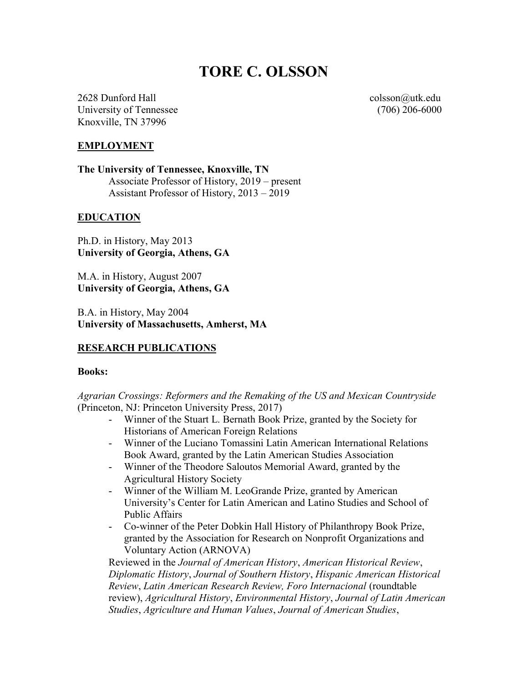# TORE C. OLSSON

2628 Dunford Hall colsson@utk.edu University of Tennessee (706) 206-6000 Knoxville, TN 37996

## EMPLOYMENT

The University of Tennessee, Knoxville, TN Associate Professor of History, 2019 – present Assistant Professor of History, 2013 – 2019

#### **EDUCATION**

Ph.D. in History, May 2013 University of Georgia, Athens, GA

M.A. in History, August 2007 University of Georgia, Athens, GA

B.A. in History, May 2004 University of Massachusetts, Amherst, MA

## RESEARCH PUBLICATIONS

#### Books:

Agrarian Crossings: Reformers and the Remaking of the US and Mexican Countryside (Princeton, NJ: Princeton University Press, 2017)

- Winner of the Stuart L. Bernath Book Prize, granted by the Society for Historians of American Foreign Relations
- Winner of the Luciano Tomassini Latin American International Relations Book Award, granted by the Latin American Studies Association
- Winner of the Theodore Saloutos Memorial Award, granted by the Agricultural History Society
- Winner of the William M. LeoGrande Prize, granted by American University's Center for Latin American and Latino Studies and School of Public Affairs
- Co-winner of the Peter Dobkin Hall History of Philanthropy Book Prize, granted by the Association for Research on Nonprofit Organizations and Voluntary Action (ARNOVA)

Reviewed in the Journal of American History, American Historical Review, Diplomatic History, Journal of Southern History, Hispanic American Historical Review, Latin American Research Review, Foro Internacional (roundtable review), Agricultural History, Environmental History, Journal of Latin American Studies, Agriculture and Human Values, Journal of American Studies,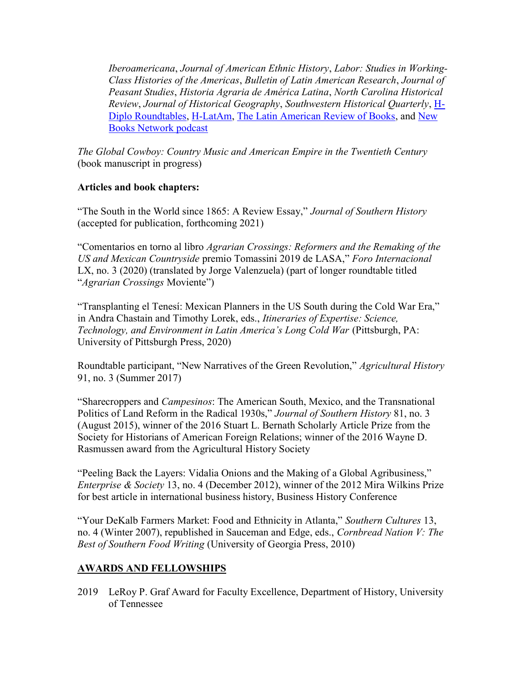Iberoamericana, Journal of American Ethnic History, Labor: Studies in Working-Class Histories of the Americas, Bulletin of Latin American Research, Journal of Peasant Studies, Historia Agraria de América Latina, North Carolina Historical Review, Journal of Historical Geography, Southwestern Historical Quarterly, H-Diplo Roundtables, H-LatAm, The Latin American Review of Books, and New Books Network podcast

The Global Cowboy: Country Music and American Empire in the Twentieth Century (book manuscript in progress)

## Articles and book chapters:

"The South in the World since 1865: A Review Essay," Journal of Southern History (accepted for publication, forthcoming 2021)

"Comentarios en torno al libro Agrarian Crossings: Reformers and the Remaking of the US and Mexican Countryside premio Tomassini 2019 de LASA," Foro Internacional LX, no. 3 (2020) (translated by Jorge Valenzuela) (part of longer roundtable titled "Agrarian Crossings Moviente")

"Transplanting el Tenesí: Mexican Planners in the US South during the Cold War Era," in Andra Chastain and Timothy Lorek, eds., Itineraries of Expertise: Science, Technology, and Environment in Latin America's Long Cold War (Pittsburgh, PA: University of Pittsburgh Press, 2020)

Roundtable participant, "New Narratives of the Green Revolution," Agricultural History 91, no. 3 (Summer 2017)

"Sharecroppers and Campesinos: The American South, Mexico, and the Transnational Politics of Land Reform in the Radical 1930s," Journal of Southern History 81, no. 3 (August 2015), winner of the 2016 Stuart L. Bernath Scholarly Article Prize from the Society for Historians of American Foreign Relations; winner of the 2016 Wayne D. Rasmussen award from the Agricultural History Society

"Peeling Back the Layers: Vidalia Onions and the Making of a Global Agribusiness," Enterprise & Society 13, no. 4 (December 2012), winner of the 2012 Mira Wilkins Prize for best article in international business history, Business History Conference

"Your DeKalb Farmers Market: Food and Ethnicity in Atlanta," Southern Cultures 13, no. 4 (Winter 2007), republished in Sauceman and Edge, eds., Cornbread Nation V: The Best of Southern Food Writing (University of Georgia Press, 2010)

# AWARDS AND FELLOWSHIPS

2019 LeRoy P. Graf Award for Faculty Excellence, Department of History, University of Tennessee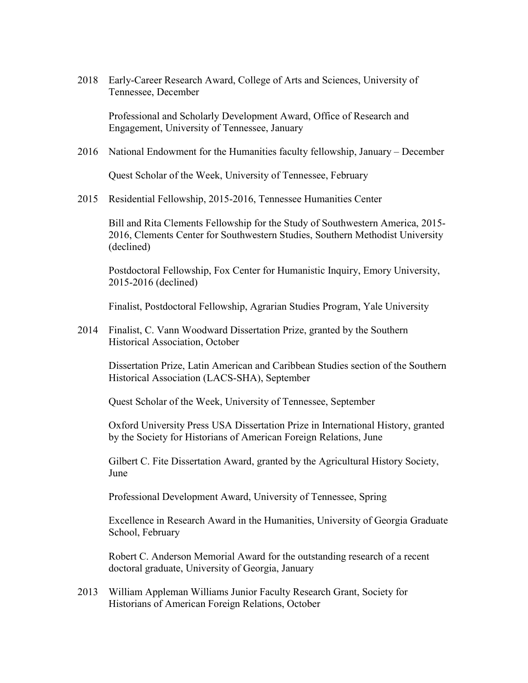2018 Early-Career Research Award, College of Arts and Sciences, University of Tennessee, December

Professional and Scholarly Development Award, Office of Research and Engagement, University of Tennessee, January

2016 National Endowment for the Humanities faculty fellowship, January – December

Quest Scholar of the Week, University of Tennessee, February

2015 Residential Fellowship, 2015-2016, Tennessee Humanities Center

 Bill and Rita Clements Fellowship for the Study of Southwestern America, 2015- 2016, Clements Center for Southwestern Studies, Southern Methodist University (declined)

 Postdoctoral Fellowship, Fox Center for Humanistic Inquiry, Emory University, 2015-2016 (declined)

Finalist, Postdoctoral Fellowship, Agrarian Studies Program, Yale University

2014 Finalist, C. Vann Woodward Dissertation Prize, granted by the Southern Historical Association, October

Dissertation Prize, Latin American and Caribbean Studies section of the Southern Historical Association (LACS-SHA), September

Quest Scholar of the Week, University of Tennessee, September

Oxford University Press USA Dissertation Prize in International History, granted by the Society for Historians of American Foreign Relations, June

Gilbert C. Fite Dissertation Award, granted by the Agricultural History Society, June

Professional Development Award, University of Tennessee, Spring

Excellence in Research Award in the Humanities, University of Georgia Graduate School, February

Robert C. Anderson Memorial Award for the outstanding research of a recent doctoral graduate, University of Georgia, January

2013 William Appleman Williams Junior Faculty Research Grant, Society for Historians of American Foreign Relations, October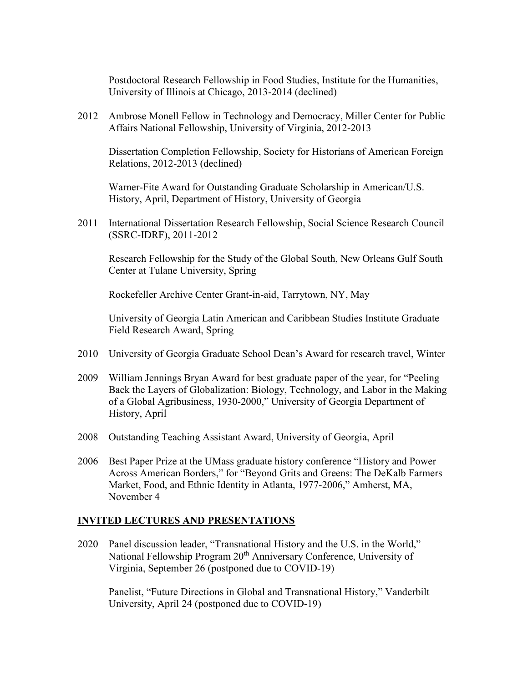Postdoctoral Research Fellowship in Food Studies, Institute for the Humanities, University of Illinois at Chicago, 2013-2014 (declined)

2012 Ambrose Monell Fellow in Technology and Democracy, Miller Center for Public Affairs National Fellowship, University of Virginia, 2012-2013

Dissertation Completion Fellowship, Society for Historians of American Foreign Relations, 2012-2013 (declined)

Warner-Fite Award for Outstanding Graduate Scholarship in American/U.S. History, April, Department of History, University of Georgia

2011 International Dissertation Research Fellowship, Social Science Research Council (SSRC-IDRF), 2011-2012

Research Fellowship for the Study of the Global South, New Orleans Gulf South Center at Tulane University, Spring

Rockefeller Archive Center Grant-in-aid, Tarrytown, NY, May

University of Georgia Latin American and Caribbean Studies Institute Graduate Field Research Award, Spring

- 2010 University of Georgia Graduate School Dean's Award for research travel, Winter
- 2009 William Jennings Bryan Award for best graduate paper of the year, for "Peeling Back the Layers of Globalization: Biology, Technology, and Labor in the Making of a Global Agribusiness, 1930-2000," University of Georgia Department of History, April
- 2008 Outstanding Teaching Assistant Award, University of Georgia, April
- 2006 Best Paper Prize at the UMass graduate history conference "History and Power Across American Borders," for "Beyond Grits and Greens: The DeKalb Farmers Market, Food, and Ethnic Identity in Atlanta, 1977-2006," Amherst, MA, November 4

## INVITED LECTURES AND PRESENTATIONS

2020 Panel discussion leader, "Transnational History and the U.S. in the World," National Fellowship Program 20<sup>th</sup> Anniversary Conference, University of Virginia, September 26 (postponed due to COVID-19)

Panelist, "Future Directions in Global and Transnational History," Vanderbilt University, April 24 (postponed due to COVID-19)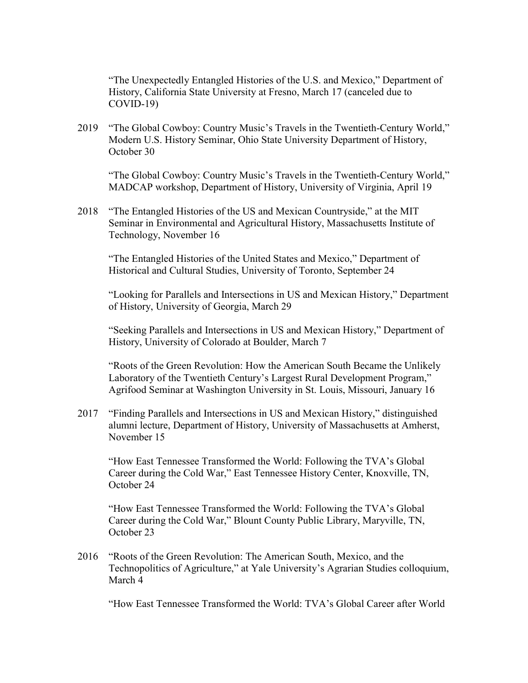"The Unexpectedly Entangled Histories of the U.S. and Mexico," Department of History, California State University at Fresno, March 17 (canceled due to  $COVID-19$ )

2019 "The Global Cowboy: Country Music's Travels in the Twentieth-Century World," Modern U.S. History Seminar, Ohio State University Department of History, October 30

"The Global Cowboy: Country Music's Travels in the Twentieth-Century World," MADCAP workshop, Department of History, University of Virginia, April 19

2018 "The Entangled Histories of the US and Mexican Countryside," at the MIT Seminar in Environmental and Agricultural History, Massachusetts Institute of Technology, November 16

"The Entangled Histories of the United States and Mexico," Department of Historical and Cultural Studies, University of Toronto, September 24

"Looking for Parallels and Intersections in US and Mexican History," Department of History, University of Georgia, March 29

 "Seeking Parallels and Intersections in US and Mexican History," Department of History, University of Colorado at Boulder, March 7

 "Roots of the Green Revolution: How the American South Became the Unlikely Laboratory of the Twentieth Century's Largest Rural Development Program," Agrifood Seminar at Washington University in St. Louis, Missouri, January 16

2017 "Finding Parallels and Intersections in US and Mexican History," distinguished alumni lecture, Department of History, University of Massachusetts at Amherst, November 15

 "How East Tennessee Transformed the World: Following the TVA's Global Career during the Cold War," East Tennessee History Center, Knoxville, TN, October 24

 "How East Tennessee Transformed the World: Following the TVA's Global Career during the Cold War," Blount County Public Library, Maryville, TN, October 23

2016 "Roots of the Green Revolution: The American South, Mexico, and the Technopolitics of Agriculture," at Yale University's Agrarian Studies colloquium, March 4

"How East Tennessee Transformed the World: TVA's Global Career after World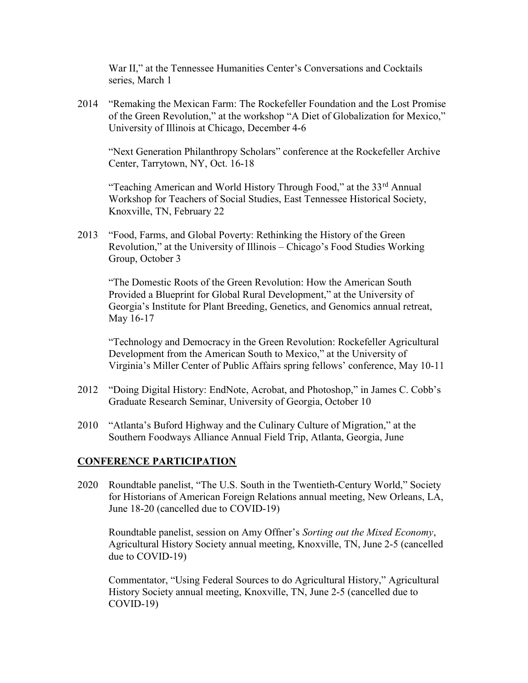War II," at the Tennessee Humanities Center's Conversations and Cocktails series, March 1

2014 "Remaking the Mexican Farm: The Rockefeller Foundation and the Lost Promise of the Green Revolution," at the workshop "A Diet of Globalization for Mexico," University of Illinois at Chicago, December 4-6

"Next Generation Philanthropy Scholars" conference at the Rockefeller Archive Center, Tarrytown, NY, Oct. 16-18

"Teaching American and World History Through Food," at the  $33<sup>rd</sup>$  Annual Workshop for Teachers of Social Studies, East Tennessee Historical Society, Knoxville, TN, February 22

2013 "Food, Farms, and Global Poverty: Rethinking the History of the Green Revolution," at the University of Illinois – Chicago's Food Studies Working Group, October 3

"The Domestic Roots of the Green Revolution: How the American South Provided a Blueprint for Global Rural Development," at the University of Georgia's Institute for Plant Breeding, Genetics, and Genomics annual retreat, May 16-17

"Technology and Democracy in the Green Revolution: Rockefeller Agricultural Development from the American South to Mexico," at the University of Virginia's Miller Center of Public Affairs spring fellows' conference, May 10-11

- 2012 "Doing Digital History: EndNote, Acrobat, and Photoshop," in James C. Cobb's Graduate Research Seminar, University of Georgia, October 10
- 2010 "Atlanta's Buford Highway and the Culinary Culture of Migration," at the Southern Foodways Alliance Annual Field Trip, Atlanta, Georgia, June

## CONFERENCE PARTICIPATION

2020 Roundtable panelist, "The U.S. South in the Twentieth-Century World," Society for Historians of American Foreign Relations annual meeting, New Orleans, LA, June 18-20 (cancelled due to COVID-19)

 Roundtable panelist, session on Amy Offner's Sorting out the Mixed Economy, Agricultural History Society annual meeting, Knoxville, TN, June 2-5 (cancelled due to COVID-19)

 Commentator, "Using Federal Sources to do Agricultural History," Agricultural History Society annual meeting, Knoxville, TN, June 2-5 (cancelled due to  $COVID-19$ )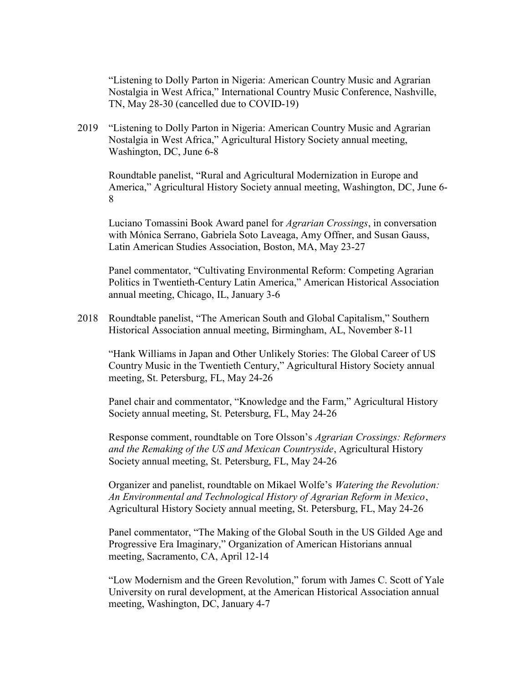"Listening to Dolly Parton in Nigeria: American Country Music and Agrarian Nostalgia in West Africa," International Country Music Conference, Nashville, TN, May 28-30 (cancelled due to COVID-19)

2019 "Listening to Dolly Parton in Nigeria: American Country Music and Agrarian Nostalgia in West Africa," Agricultural History Society annual meeting, Washington, DC, June 6-8

Roundtable panelist, "Rural and Agricultural Modernization in Europe and America," Agricultural History Society annual meeting, Washington, DC, June 6- 8

Luciano Tomassini Book Award panel for Agrarian Crossings, in conversation with Mónica Serrano, Gabriela Soto Laveaga, Amy Offner, and Susan Gauss, Latin American Studies Association, Boston, MA, May 23-27

Panel commentator, "Cultivating Environmental Reform: Competing Agrarian Politics in Twentieth-Century Latin America," American Historical Association annual meeting, Chicago, IL, January 3-6

2018 Roundtable panelist, "The American South and Global Capitalism," Southern Historical Association annual meeting, Birmingham, AL, November 8-11

"Hank Williams in Japan and Other Unlikely Stories: The Global Career of US Country Music in the Twentieth Century," Agricultural History Society annual meeting, St. Petersburg, FL, May 24-26

 Panel chair and commentator, "Knowledge and the Farm," Agricultural History Society annual meeting, St. Petersburg, FL, May 24-26

Response comment, roundtable on Tore Olsson's Agrarian Crossings: Reformers and the Remaking of the US and Mexican Countryside, Agricultural History Society annual meeting, St. Petersburg, FL, May 24-26

Organizer and panelist, roundtable on Mikael Wolfe's Watering the Revolution: An Environmental and Technological History of Agrarian Reform in Mexico, Agricultural History Society annual meeting, St. Petersburg, FL, May 24-26

Panel commentator, "The Making of the Global South in the US Gilded Age and Progressive Era Imaginary," Organization of American Historians annual meeting, Sacramento, CA, April 12-14

"Low Modernism and the Green Revolution," forum with James C. Scott of Yale University on rural development, at the American Historical Association annual meeting, Washington, DC, January 4-7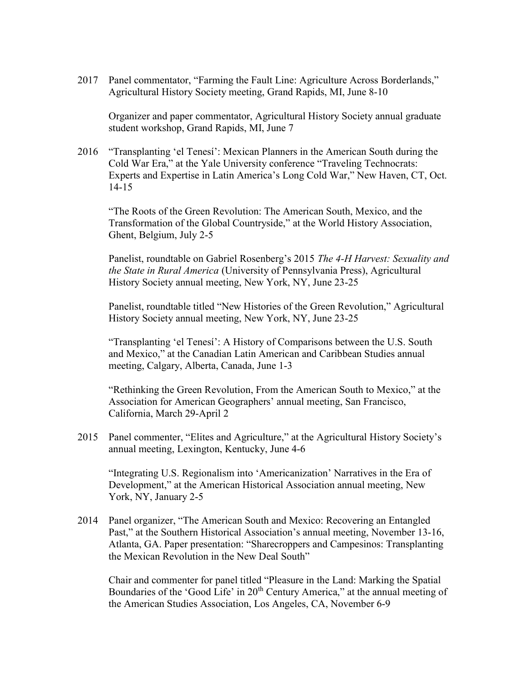2017 Panel commentator, "Farming the Fault Line: Agriculture Across Borderlands," Agricultural History Society meeting, Grand Rapids, MI, June 8-10

 Organizer and paper commentator, Agricultural History Society annual graduate student workshop, Grand Rapids, MI, June 7

2016 "Transplanting 'el Tenesí': Mexican Planners in the American South during the Cold War Era," at the Yale University conference "Traveling Technocrats: Experts and Expertise in Latin America's Long Cold War," New Haven, CT, Oct. 14-15

 "The Roots of the Green Revolution: The American South, Mexico, and the Transformation of the Global Countryside," at the World History Association, Ghent, Belgium, July 2-5

Panelist, roundtable on Gabriel Rosenberg's 2015 The 4-H Harvest: Sexuality and the State in Rural America (University of Pennsylvania Press), Agricultural History Society annual meeting, New York, NY, June 23-25

 Panelist, roundtable titled "New Histories of the Green Revolution," Agricultural History Society annual meeting, New York, NY, June 23-25

 "Transplanting 'el Tenesí': A History of Comparisons between the U.S. South and Mexico," at the Canadian Latin American and Caribbean Studies annual meeting, Calgary, Alberta, Canada, June 1-3

 "Rethinking the Green Revolution, From the American South to Mexico," at the Association for American Geographers' annual meeting, San Francisco, California, March 29-April 2

2015 Panel commenter, "Elites and Agriculture," at the Agricultural History Society's annual meeting, Lexington, Kentucky, June 4-6

"Integrating U.S. Regionalism into 'Americanization' Narratives in the Era of Development," at the American Historical Association annual meeting, New York, NY, January 2-5

2014 Panel organizer, "The American South and Mexico: Recovering an Entangled Past," at the Southern Historical Association's annual meeting, November 13-16, Atlanta, GA. Paper presentation: "Sharecroppers and Campesinos: Transplanting the Mexican Revolution in the New Deal South"

 Chair and commenter for panel titled "Pleasure in the Land: Marking the Spatial Boundaries of the 'Good Life' in 20<sup>th</sup> Century America," at the annual meeting of the American Studies Association, Los Angeles, CA, November 6-9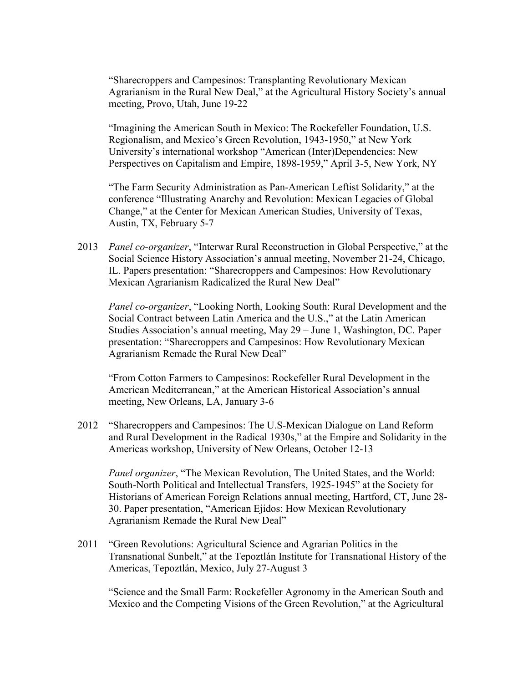"Sharecroppers and Campesinos: Transplanting Revolutionary Mexican Agrarianism in the Rural New Deal," at the Agricultural History Society's annual meeting, Provo, Utah, June 19-22

"Imagining the American South in Mexico: The Rockefeller Foundation, U.S. Regionalism, and Mexico's Green Revolution, 1943-1950," at New York University's international workshop "American (Inter)Dependencies: New Perspectives on Capitalism and Empire, 1898-1959," April 3-5, New York, NY

"The Farm Security Administration as Pan-American Leftist Solidarity," at the conference "Illustrating Anarchy and Revolution: Mexican Legacies of Global Change," at the Center for Mexican American Studies, University of Texas, Austin, TX, February 5-7

2013 *Panel co-organizer*, "Interwar Rural Reconstruction in Global Perspective," at the Social Science History Association's annual meeting, November 21-24, Chicago, IL. Papers presentation: "Sharecroppers and Campesinos: How Revolutionary Mexican Agrarianism Radicalized the Rural New Deal"

Panel co-organizer, "Looking North, Looking South: Rural Development and the Social Contract between Latin America and the U.S.," at the Latin American Studies Association's annual meeting, May 29 – June 1, Washington, DC. Paper presentation: "Sharecroppers and Campesinos: How Revolutionary Mexican Agrarianism Remade the Rural New Deal"

"From Cotton Farmers to Campesinos: Rockefeller Rural Development in the American Mediterranean," at the American Historical Association's annual meeting, New Orleans, LA, January 3-6

2012 "Sharecroppers and Campesinos: The U.S-Mexican Dialogue on Land Reform and Rural Development in the Radical 1930s," at the Empire and Solidarity in the Americas workshop, University of New Orleans, October 12-13

Panel organizer, "The Mexican Revolution, The United States, and the World: South-North Political and Intellectual Transfers, 1925-1945" at the Society for Historians of American Foreign Relations annual meeting, Hartford, CT, June 28- 30. Paper presentation, "American Ejidos: How Mexican Revolutionary Agrarianism Remade the Rural New Deal"

2011 "Green Revolutions: Agricultural Science and Agrarian Politics in the Transnational Sunbelt," at the Tepoztlán Institute for Transnational History of the Americas, Tepoztlán, Mexico, July 27-August 3

"Science and the Small Farm: Rockefeller Agronomy in the American South and Mexico and the Competing Visions of the Green Revolution," at the Agricultural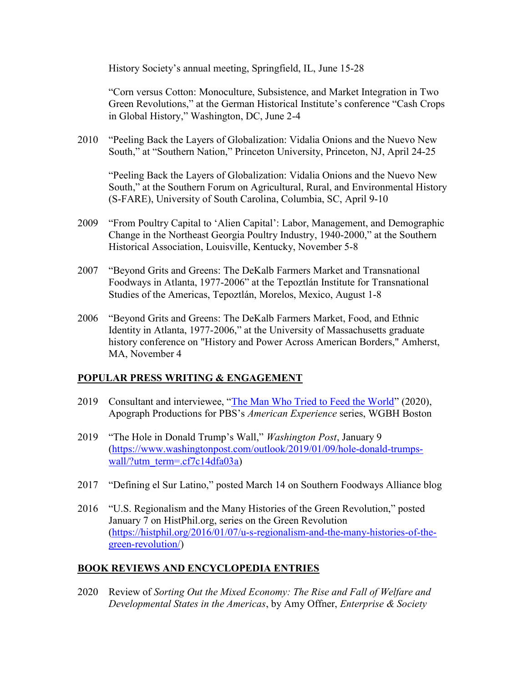History Society's annual meeting, Springfield, IL, June 15-28

"Corn versus Cotton: Monoculture, Subsistence, and Market Integration in Two Green Revolutions," at the German Historical Institute's conference "Cash Crops in Global History," Washington, DC, June 2-4

2010 "Peeling Back the Layers of Globalization: Vidalia Onions and the Nuevo New South," at "Southern Nation," Princeton University, Princeton, NJ, April 24-25

"Peeling Back the Layers of Globalization: Vidalia Onions and the Nuevo New South," at the Southern Forum on Agricultural, Rural, and Environmental History (S-FARE), University of South Carolina, Columbia, SC, April 9-10

- 2009 "From Poultry Capital to 'Alien Capital': Labor, Management, and Demographic Change in the Northeast Georgia Poultry Industry, 1940-2000," at the Southern Historical Association, Louisville, Kentucky, November 5-8
- 2007 "Beyond Grits and Greens: The DeKalb Farmers Market and Transnational Foodways in Atlanta, 1977-2006" at the Tepoztlán Institute for Transnational Studies of the Americas, Tepoztlán, Morelos, Mexico, August 1-8
- 2006 "Beyond Grits and Greens: The DeKalb Farmers Market, Food, and Ethnic Identity in Atlanta, 1977-2006," at the University of Massachusetts graduate history conference on "History and Power Across American Borders," Amherst, MA, November 4

## POPULAR PRESS WRITING & ENGAGEMENT

- 2019 Consultant and interviewee, "The Man Who Tried to Feed the World" (2020), Apograph Productions for PBS's American Experience series, WGBH Boston
- 2019 "The Hole in Donald Trump's Wall," Washington Post, January 9 (https://www.washingtonpost.com/outlook/2019/01/09/hole-donald-trumpswall/?utm\_term=.cf7c14dfa03a)
- 2017 "Defining el Sur Latino," posted March 14 on Southern Foodways Alliance blog
- 2016 "U.S. Regionalism and the Many Histories of the Green Revolution," posted January 7 on HistPhil.org, series on the Green Revolution (https://histphil.org/2016/01/07/u-s-regionalism-and-the-many-histories-of-thegreen-revolution/)

## BOOK REVIEWS AND ENCYCLOPEDIA ENTRIES

2020 Review of Sorting Out the Mixed Economy: The Rise and Fall of Welfare and Developmental States in the Americas, by Amy Offner, Enterprise & Society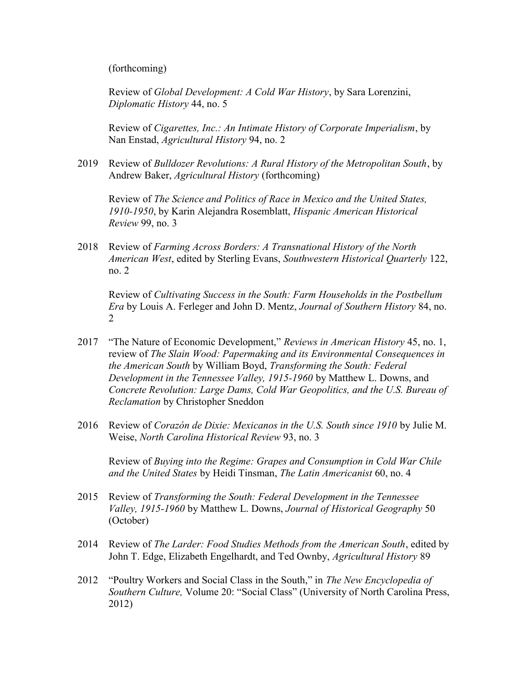(forthcoming)

Review of Global Development: A Cold War History, by Sara Lorenzini, Diplomatic History 44, no. 5

Review of Cigarettes, Inc.: An Intimate History of Corporate Imperialism, by Nan Enstad, Agricultural History 94, no. 2

2019 Review of Bulldozer Revolutions: A Rural History of the Metropolitan South, by Andrew Baker, Agricultural History (forthcoming)

Review of The Science and Politics of Race in Mexico and the United States, 1910-1950, by Karin Alejandra Rosemblatt, Hispanic American Historical Review 99, no. 3

2018 Review of Farming Across Borders: A Transnational History of the North American West, edited by Sterling Evans, Southwestern Historical Quarterly 122, no. 2

 Review of Cultivating Success in the South: Farm Households in the Postbellum Era by Louis A. Ferleger and John D. Mentz, Journal of Southern History 84, no.  $\mathcal{L}$ 

- 2017 "The Nature of Economic Development," Reviews in American History 45, no. 1, review of The Slain Wood: Papermaking and its Environmental Consequences in the American South by William Boyd, Transforming the South: Federal Development in the Tennessee Valley, 1915-1960 by Matthew L. Downs, and Concrete Revolution: Large Dams, Cold War Geopolitics, and the U.S. Bureau of Reclamation by Christopher Sneddon
- 2016 Review of Corazón de Dixie: Mexicanos in the U.S. South since 1910 by Julie M. Weise, North Carolina Historical Review 93, no. 3

Review of Buying into the Regime: Grapes and Consumption in Cold War Chile and the United States by Heidi Tinsman, The Latin Americanist 60, no. 4

- 2015 Review of Transforming the South: Federal Development in the Tennessee Valley, 1915-1960 by Matthew L. Downs, Journal of Historical Geography 50 (October)
- 2014 Review of The Larder: Food Studies Methods from the American South, edited by John T. Edge, Elizabeth Engelhardt, and Ted Ownby, Agricultural History 89
- 2012 "Poultry Workers and Social Class in the South," in The New Encyclopedia of Southern Culture, Volume 20: "Social Class" (University of North Carolina Press, 2012)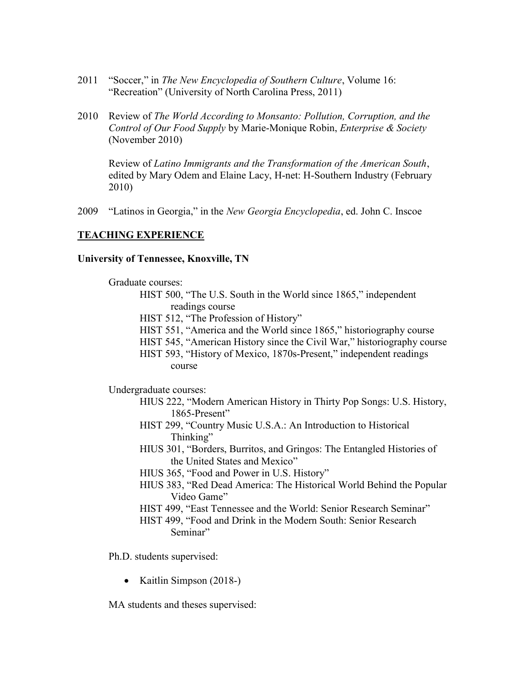- 2011 "Soccer," in The New Encyclopedia of Southern Culture, Volume 16: "Recreation" (University of North Carolina Press, 2011)
- 2010 Review of The World According to Monsanto: Pollution, Corruption, and the Control of Our Food Supply by Marie-Monique Robin, Enterprise & Society (November 2010)

Review of Latino Immigrants and the Transformation of the American South, edited by Mary Odem and Elaine Lacy, H-net: H-Southern Industry (February 2010)

2009 "Latinos in Georgia," in the New Georgia Encyclopedia, ed. John C. Inscoe

## TEACHING EXPERIENCE

#### University of Tennessee, Knoxville, TN

Graduate courses:

- HIST 500, "The U.S. South in the World since 1865," independent readings course
	- HIST 512, "The Profession of History"
	- HIST 551, "America and the World since 1865," historiography course
	- HIST 545, "American History since the Civil War," historiography course
	- HIST 593, "History of Mexico, 1870s-Present," independent readings course

Undergraduate courses:

- HIUS 222, "Modern American History in Thirty Pop Songs: U.S. History, 1865-Present"
- HIST 299, "Country Music U.S.A.: An Introduction to Historical Thinking"
- HIUS 301, "Borders, Burritos, and Gringos: The Entangled Histories of the United States and Mexico"
- HIUS 365, "Food and Power in U.S. History"
- HIUS 383, "Red Dead America: The Historical World Behind the Popular Video Game"
- HIST 499, "East Tennessee and the World: Senior Research Seminar"
- HIST 499, "Food and Drink in the Modern South: Senior Research Seminar"

Ph.D. students supervised:

• Kaitlin Simpson  $(2018-)$ 

MA students and theses supervised: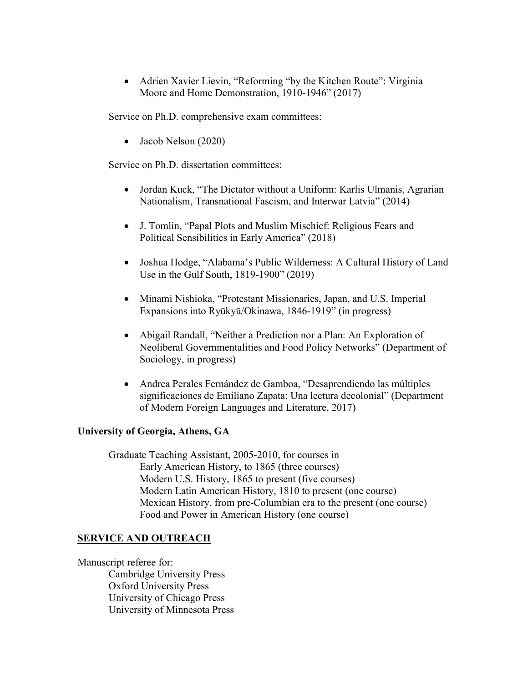Adrien Xavier Lievin, "Reforming "by the Kitchen Route": Virginia Moore and Home Demonstration, 1910-1946" (2017)

Service on Ph.D. comprehensive exam committees:

Jacob Nelson (2020)

Service on Ph.D. dissertation committees:

- Jordan Kuck, "The Dictator without a Uniform: Karlis Ulmanis, Agrarian Nationalism, Transnational Fascism, and Interwar Latvia" (2014)
- J. Tomlin, "Papal Plots and Muslim Mischief: Religious Fears and Political Sensibilities in Early America" (2018)
- Joshua Hodge, "Alabama's Public Wilderness: A Cultural History of Land Use in the Gulf South, 1819-1900" (2019)
- Minami Nishioka, "Protestant Missionaries, Japan, and U.S. Imperial Expansions into Ryūkyū/Okinawa, 1846-1919" (in progress)
- Abigail Randall, "Neither a Prediction nor a Plan: An Exploration of Neoliberal Governmentalities and Food Policy Networks" (Department of Sociology, in progress)
- Andrea Perales Fernández de Gamboa, "Desaprendiendo las múltiples significaciones de Emiliano Zapata: Una lectura decolonial" (Department of Modern Foreign Languages and Literature, 2017)

## University of Georgia, Athens, GA

Graduate Teaching Assistant, 2005-2010, for courses in Early American History, to 1865 (three courses) Modern U.S. History, 1865 to present (five courses) Modern Latin American History, 1810 to present (one course) Mexican History, from pre-Columbian era to the present (one course) Food and Power in American History (one course)

## SERVICE AND OUTREACH

Manuscript referee for: Cambridge University Press Oxford University Press University of Chicago Press University of Minnesota Press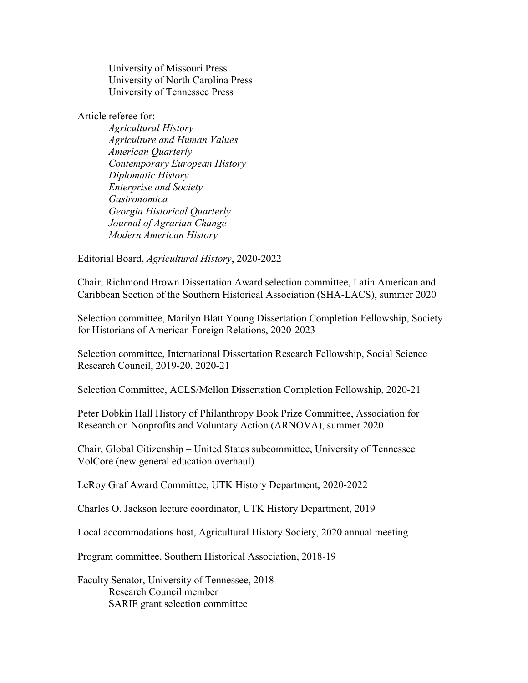University of Missouri Press University of North Carolina Press University of Tennessee Press

Article referee for:

Agricultural History Agriculture and Human Values American Quarterly Contemporary European History Diplomatic History Enterprise and Society Gastronomica Georgia Historical Quarterly Journal of Agrarian Change Modern American History

Editorial Board, Agricultural History, 2020-2022

Chair, Richmond Brown Dissertation Award selection committee, Latin American and Caribbean Section of the Southern Historical Association (SHA-LACS), summer 2020

Selection committee, Marilyn Blatt Young Dissertation Completion Fellowship, Society for Historians of American Foreign Relations, 2020-2023

Selection committee, International Dissertation Research Fellowship, Social Science Research Council, 2019-20, 2020-21

Selection Committee, ACLS/Mellon Dissertation Completion Fellowship, 2020-21

Peter Dobkin Hall History of Philanthropy Book Prize Committee, Association for Research on Nonprofits and Voluntary Action (ARNOVA), summer 2020

Chair, Global Citizenship – United States subcommittee, University of Tennessee VolCore (new general education overhaul)

LeRoy Graf Award Committee, UTK History Department, 2020-2022

Charles O. Jackson lecture coordinator, UTK History Department, 2019

Local accommodations host, Agricultural History Society, 2020 annual meeting

Program committee, Southern Historical Association, 2018-19

Faculty Senator, University of Tennessee, 2018- Research Council member SARIF grant selection committee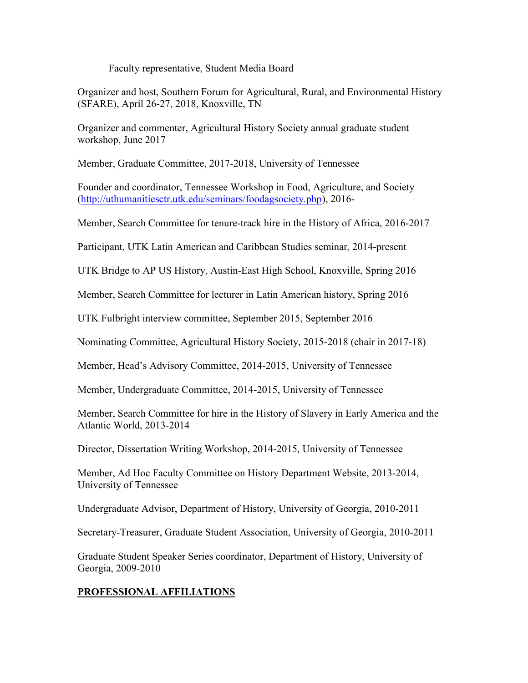Faculty representative, Student Media Board

Organizer and host, Southern Forum for Agricultural, Rural, and Environmental History (SFARE), April 26-27, 2018, Knoxville, TN

Organizer and commenter, Agricultural History Society annual graduate student workshop, June 2017

Member, Graduate Committee, 2017-2018, University of Tennessee

Founder and coordinator, Tennessee Workshop in Food, Agriculture, and Society (http://uthumanitiesctr.utk.edu/seminars/foodagsociety.php), 2016-

Member, Search Committee for tenure-track hire in the History of Africa, 2016-2017

Participant, UTK Latin American and Caribbean Studies seminar, 2014-present

UTK Bridge to AP US History, Austin-East High School, Knoxville, Spring 2016

Member, Search Committee for lecturer in Latin American history, Spring 2016

UTK Fulbright interview committee, September 2015, September 2016

Nominating Committee, Agricultural History Society, 2015-2018 (chair in 2017-18)

Member, Head's Advisory Committee, 2014-2015, University of Tennessee

Member, Undergraduate Committee, 2014-2015, University of Tennessee

Member, Search Committee for hire in the History of Slavery in Early America and the Atlantic World, 2013-2014

Director, Dissertation Writing Workshop, 2014-2015, University of Tennessee

Member, Ad Hoc Faculty Committee on History Department Website, 2013-2014, University of Tennessee

Undergraduate Advisor, Department of History, University of Georgia, 2010-2011

Secretary-Treasurer, Graduate Student Association, University of Georgia, 2010-2011

Graduate Student Speaker Series coordinator, Department of History, University of Georgia, 2009-2010

# PROFESSIONAL AFFILIATIONS